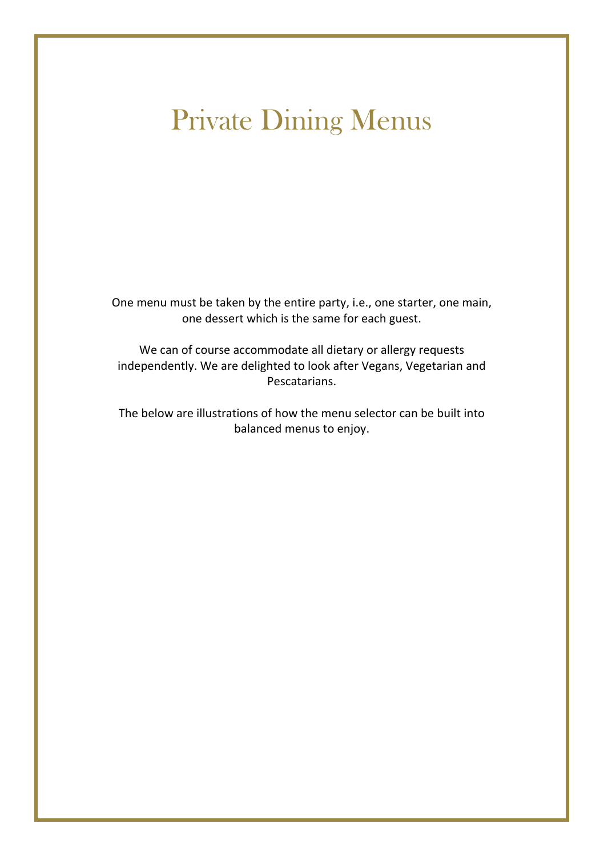# Private Dining Menus

One menu must be taken by the entire party, i.e., one starter, one main, one dessert which is the same for each guest.

We can of course accommodate all dietary or allergy requests independently. We are delighted to look after Vegans, Vegetarian and Pescatarians.

The below are illustrations of how the menu selector can be built into balanced menus to enjoy.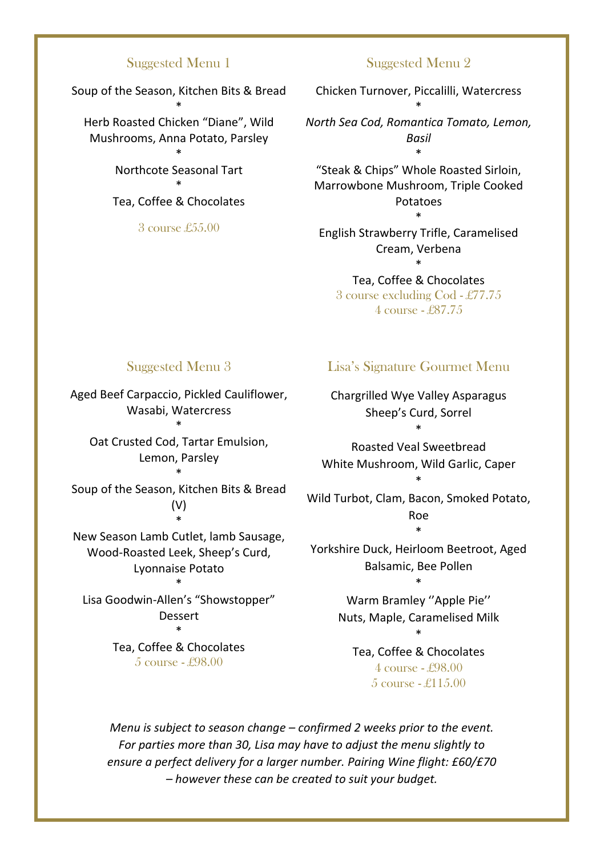#### Suggested Menu 1

Soup of the Season, Kitchen Bits & Bread

\* Herb Roasted Chicken "Diane", Wild Mushrooms, Anna Potato, Parsley

> \* Northcote Seasonal Tart

\* Tea, Coffee & Chocolates

3 course £55.00

#### Suggested Menu 2

Chicken Turnover, Piccalilli, Watercress \* *North Sea Cod, Romantica Tomato, Lemon, Basil* \*

"Steak & Chips" Whole Roasted Sirloin, Marrowbone Mushroom, Triple Cooked Potatoes \*

English Strawberry Trifle, Caramelised Cream, Verbena \*

Tea, Coffee & Chocolates 3 course excluding Cod - £77.75 4 course - £87.75

#### Suggested Menu 3

Aged Beef Carpaccio, Pickled Cauliflower, Wasabi, Watercress

\* Oat Crusted Cod, Tartar Emulsion, Lemon, Parsley \*

Soup of the Season, Kitchen Bits & Bread (V) \*

New Season Lamb Cutlet, lamb Sausage, Wood-Roasted Leek, Sheep's Curd, Lyonnaise Potato

\* Lisa Goodwin-Allen's "Showstopper" Dessert

> \* Tea, Coffee & Chocolates 5 course - £98.00

#### Lisa's Signature Gourmet Menu

Chargrilled Wye Valley Asparagus Sheep's Curd, Sorrel \*

Roasted Veal Sweetbread White Mushroom, Wild Garlic, Caper \*

Wild Turbot, Clam, Bacon, Smoked Potato, Roe \*

Yorkshire Duck, Heirloom Beetroot, Aged Balsamic, Bee Pollen \*

> Warm Bramley ''Apple Pie'' Nuts, Maple, Caramelised Milk \*

Tea, Coffee & Chocolates 4 course - £98.00 5 course - £115.00

*Menu is subject to season change – confirmed 2 weeks prior to the event. For parties more than 30, Lisa may have to adjust the menu slightly to ensure a perfect delivery for a larger number. Pairing Wine flight: £60/£70 – however these can be created to suit your budget.*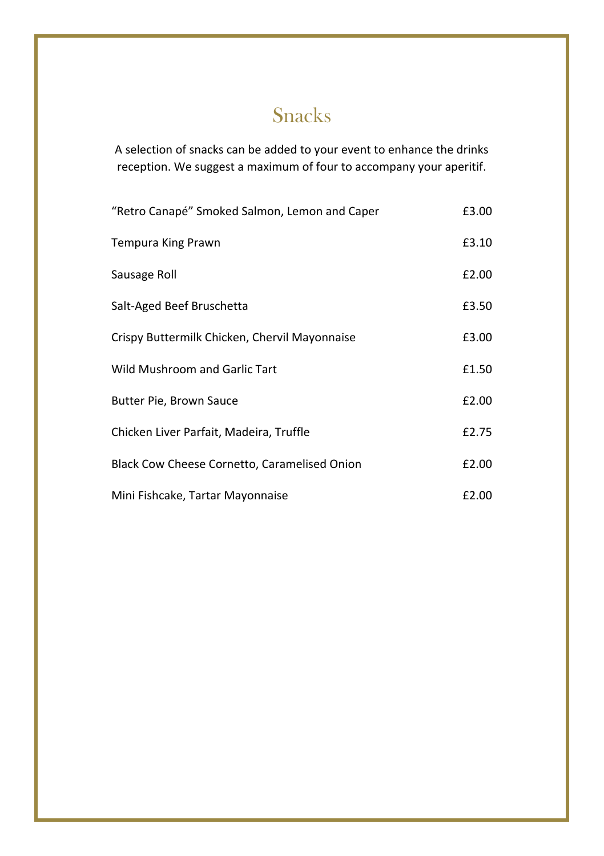### Snacks

A selection of snacks can be added to your event to enhance the drinks reception. We suggest a maximum of four to accompany your aperitif.

| "Retro Canapé" Smoked Salmon, Lemon and Caper | £3.00 |
|-----------------------------------------------|-------|
| Tempura King Prawn                            | £3.10 |
| Sausage Roll                                  | £2.00 |
| Salt-Aged Beef Bruschetta                     | £3.50 |
| Crispy Buttermilk Chicken, Chervil Mayonnaise | £3.00 |
| Wild Mushroom and Garlic Tart                 | £1.50 |
| Butter Pie, Brown Sauce                       | £2.00 |
| Chicken Liver Parfait, Madeira, Truffle       | £2.75 |
| Black Cow Cheese Cornetto, Caramelised Onion  | £2.00 |
| Mini Fishcake, Tartar Mayonnaise              | £2.00 |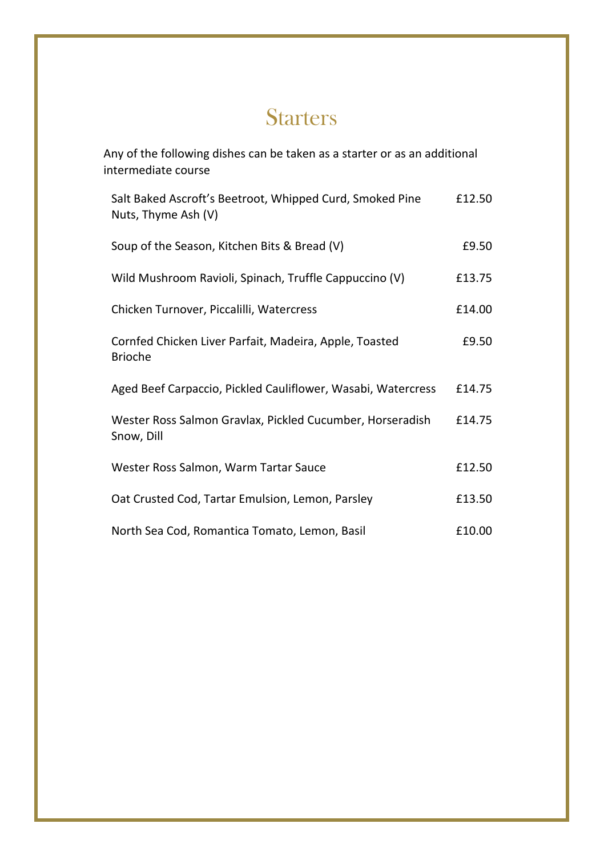## **Starters**

Any of the following dishes can be taken as a starter or as an additional intermediate course

| Salt Baked Ascroft's Beetroot, Whipped Curd, Smoked Pine<br>Nuts, Thyme Ash (V) | £12.50 |
|---------------------------------------------------------------------------------|--------|
| Soup of the Season, Kitchen Bits & Bread (V)                                    | £9.50  |
| Wild Mushroom Ravioli, Spinach, Truffle Cappuccino (V)                          | £13.75 |
| Chicken Turnover, Piccalilli, Watercress                                        | £14.00 |
| Cornfed Chicken Liver Parfait, Madeira, Apple, Toasted<br><b>Brioche</b>        | £9.50  |
| Aged Beef Carpaccio, Pickled Cauliflower, Wasabi, Watercress                    | £14.75 |
| Wester Ross Salmon Gravlax, Pickled Cucumber, Horseradish<br>Snow, Dill         | £14.75 |
| Wester Ross Salmon, Warm Tartar Sauce                                           | £12.50 |
| Oat Crusted Cod, Tartar Emulsion, Lemon, Parsley                                | £13.50 |
| North Sea Cod, Romantica Tomato, Lemon, Basil                                   | £10.00 |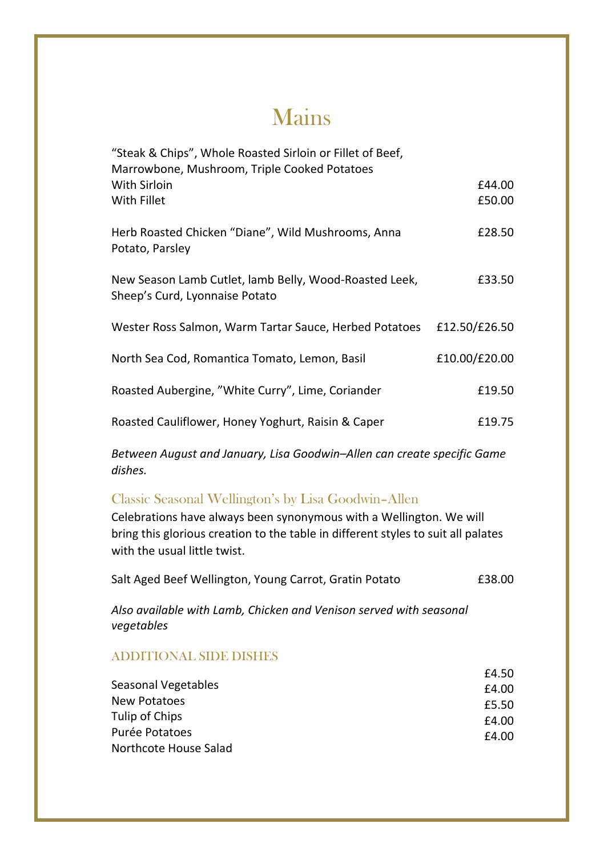# Mains

| "Steak & Chips", Whole Roasted Sirloin or Fillet of Beef,<br>Marrowbone, Mushroom, Triple Cooked Potatoes |               |
|-----------------------------------------------------------------------------------------------------------|---------------|
| With Sirloin                                                                                              | £44.00        |
| With Fillet                                                                                               | £50.00        |
| Herb Roasted Chicken "Diane", Wild Mushrooms, Anna<br>Potato, Parsley                                     | £28.50        |
| New Season Lamb Cutlet, lamb Belly, Wood-Roasted Leek,<br>Sheep's Curd, Lyonnaise Potato                  | £33.50        |
| Wester Ross Salmon, Warm Tartar Sauce, Herbed Potatoes                                                    | £12.50/£26.50 |
| North Sea Cod, Romantica Tomato, Lemon, Basil                                                             | £10.00/£20.00 |
| Roasted Aubergine, "White Curry", Lime, Coriander                                                         | £19.50        |
| Roasted Cauliflower, Honey Yoghurt, Raisin & Caper                                                        | £19.75        |

*Between August and January, Lisa Goodwin–Allen can create specific Game dishes.*

### Classic Seasonal Wellington's by Lisa Goodwin–Allen

Celebrations have always been synonymous with a Wellington. We will bring this glorious creation to the table in different styles to suit all palates with the usual little twist.

|  | Salt Aged Beef Wellington, Young Carrot, Gratin Potato | £38.00 |
|--|--------------------------------------------------------|--------|
|--|--------------------------------------------------------|--------|

*Also available with Lamb, Chicken and Venison served with seasonal vegetables*

### ADDITIONAL SIDE DISHES

| £4.50 |
|-------|
| £4.00 |
| £5.50 |
| £4.00 |
| £4.00 |
|       |
|       |

£4.50